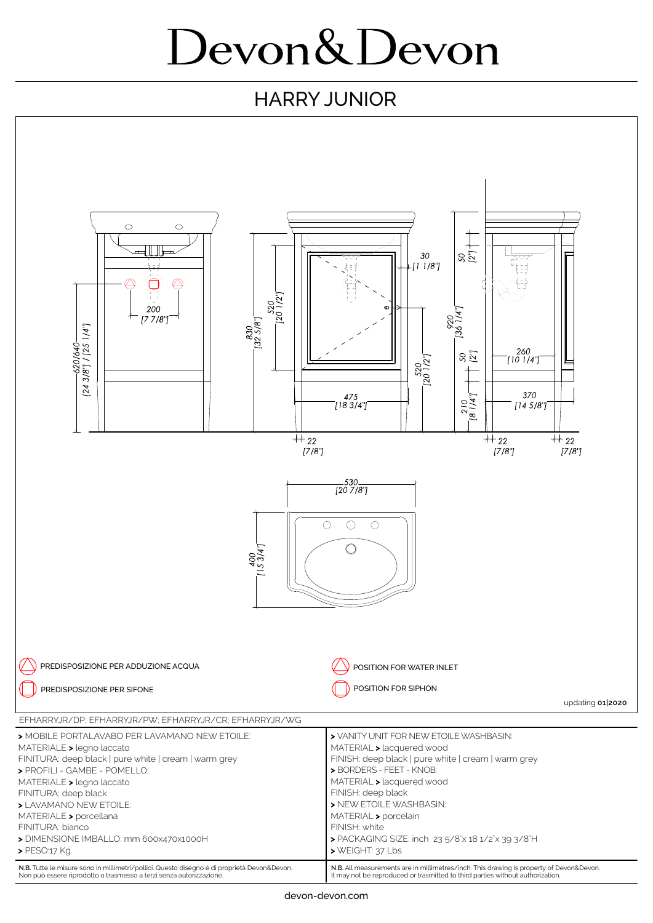## Devon&Devon

## HARRY JUNIOR